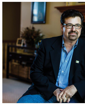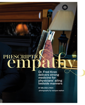## PRESCRIPTIO RESCRIPTION: HOUT

Dr. Fred Kron delivers strong medicine for physicians' ailing bedside manners

by meLissa Lynch photography by narayan mahon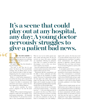## It's a scene that could play out at any hospital, any day: A young doctor nervously struggles to give a patient bad news.

**OBIN, YOU HAVE LEUKEMIA,"** he informs the johnny-clad woman. She sputters her disbelief, but his response is not comforting. "I think you need some time to yourself - I'm going to step out now."

She angrily rebukes him, then demands to leave the hospital.

"I'm sorry to hear that, but it's your choice," the doctor says. The uncomfortable exchange ends, but Robin doesn't exit the room. Instead, she fades to black, her image disappearing from the computer screen that sits on a desk facing the physician.

Robin is a virtual human, programmed to see and hear the doctor, and to respond with a span of emotions. The doctor is in training to improve his ability to communicate vital information and reassure a patient who has been staggered by a difficult diagnosis.

As the session concludes, the doctor receives a diagnosis of his own: He needs more work.

MPathic-VR is a computer training program designed to build trust and empathy in the doctor-patient relationship — the brainchild of Dr. Fred Kron '75, who has been on both sides of these uncomfortable conversations.

When he was 16, his mother passed away after a battle with lung cancer. He also has survived two bouts with cancer, including one immediately following his graduation from Clark. As a patient, he learned how discouraging it can be when your doctor seems to ignore your concerns.

Kron first realized how little value is placed on doctor-patient interactions when he was a medical student in the late 1970s.

"Professional skills like communication and the ability to observe, understand, and reflect on a situation are the foundation of medical practice," Kron says. If communication training isn't done right in the earliest stages "it's not going to be done after you have your medical degree, and it's certainly not going to be done after postgraduate [specialty] training. Generally, nobody looks over their shoulders again."

Studies have shown that the very first piece of the doctor-patient meeting — "the patient interview" — is the most important part of any patient's visit, Kron says. What a doctor learns in the interview is crucial to everything that follows. "The physical exam, the tests you order, the conclusions you draw are all based on developing trust and building a

rapport with a person, who then may reveal to you their authentic reason for the visit, or complicating issues or problems," he explains. Good communication also enables the physician to appreciate a patient's diversity, background, fears, even hopes and dreams, "so you can treat the patient as a person, with kindness and respect."

An incomplete patient history or simply a lack of personal connection can lead to an unsatisfactory doctor-patient relationship, or worse. Poor communication is consistently a top contributor to the medical errors that result in about 400,000 deaths and up to eight million cases of "preventable harm" per year, according to a 2016 study by Johns Hopkins researchers, published in the *British Medical Journal.* 

Medical schools, hospital groups and even health insurers want to improve the status quo for a very practical reason, Kron says. Physician communication drives patient satisfaction. "If the doctor communicates well with a patient, that patient will give you top marks in a survey. And what does that mean to a health care organization? It gets higher reimbursements. Further, poor doctor-patient communication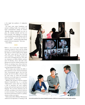is the single best predictor of malpractice lawsuits."

For many years, major foundations and national certifying bodies have pushed for better communication training for doctors. Although training requirements are now in place, the methods currently used have not been successful. "The challenge is to develop a novel method that provides learners with the 'why' of learning — as in, why do I have to know this stuff? — and that will actually change people's behaviors in practice," Kron says. Enter Robin.

## •••••

Robin is one of the three virtual human characters created by Kron and his writing partner, D.C. Fontana, perhaps best known as the author of a dozen scripts for the original "Star Trek" series and for "Star Trek: the Next Generation." The Robin scenario lets users work on breaking bad news. The other two characters are Delmy (Robin's mother), from El Salvador, whose old-world values illustrate the need for cultural sensitivity; and Nicole, an oncology nurse, whose discovery of an intern's blunder provides training in resolving interpersonal conflicts.

"We're trying to give students the ability to gain experience in safe, virtual environments, with 'conversational agents' that look like people and with the ability to interact using the same range of verbal and nonverbal behaviors you would expect in conversation with another human," Kron says.

MPathic-VR, a product of Kron's company Medical Cyberworlds Inc., is a real-time, "bidirectional" system where the computer is able to determine the user's cognitive strategy and read facial expressions and body language. The on-screen characters react in real time, according to the doctor's behavior in various situations. The program interprets the doctor's performance based on "grading" criteria on many user inputs.

Robin and her fellow MPathic-VR characters





underscore the importance of learning to talk<br>Live actors perform the various hospital scenarios, which are converted into virtual reality modules.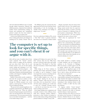with and understand different types of people through realistic interactions, reflection and deliberate practice, a departure from traditional medical school communication training via lectures and workshops and "standardized patients," people who have been trained to portray certain types of patient roles.

A doctor once told Kron that he learned more about working with patients and colleagues by watching the TV comedy "Scrubs" than he

The MPathic group also reported that they appreciated the lessons more and had a better understanding of why the knowledge was valuable. Kron summarizes the findings in simple terms: "It works."

How does a physician in Madison, Wis., recruit a "Star Trek" writer to generate characters and stories for an interactive medical student

•••••

## The computer is set up to<br>look for specific things, and you can't cheat it or argue with it.

did in all four years of medical school. Kron wasn't surprised: The "Scrubs" narrative allows viewers to engage with the characters and care about them. That's why he and Fontana created a story arc for their training system, writing and evaluating it as if they were developing a television program — only instead of episodes, they created a series of richly drawn characters and thematically linked modules, each designed to highlight a different learning competency.

Medical Cyberworlds recently completed a trial with 421 second-year students at three medical schools. The students who went through the MPathic program were tested against a control group of students who had received traditional training.

"We proved with statistical significance that on global communication, the MPathic group did better," Kron says. "What the students learned in doing the program stayed with them, and it was incorporated into their manner of communication. The most pronounced effect was in nonverbal communication — and that is the hardest thing to train."

training tool? It helps to be a part of the "Star Trek" universe. Since the late 1980s, Kron has been a television script writer with credits that range from "The Smurfs" to "Star Trek: The Next Generation," which Fontana helped launch.

While doing an Air Force residency in radiology, Kron began questioning whether he wanted to stay in medicine. A friend encouraged him to pursue something that he really wanted to do: write for television.

Kron's toddler daughter was a fan of the "The Smurfs." During his free time, he drafted a "Smurfs" script and sent it to the story editor, who was amazed that "a doctor, Air Force major, radiology guy" would want to write for a Saturday morning cartoon — and that he was better than most of the writers working on the show.

Kron began landing more assignments and eventually worked on three different shows while still a radiology resident. Offered a promotion to chief resident, he declined so that he could continue writing, while practicing general medicine in Orange County, Calif.

Despite uncertainty about his future, Kron found it hard to let go of his medical career. Things turned around when his supervisor offered him the chance to attend a year-long course at University of California, Irvine on doctor-patient communication. While there, he was interviewed by a TV news reporter intrigued by his status as doctor-writer.

That's when he experienced his "a-ha" moment.

Kron told the reporter that writing isn't much different than communicating with patients. "If you're a good writer you understand drama, conflict, your characters, their backstory, what drives them, their fears, their hopes, desires. You understand universality of theme, how to talk to people to get a message across in a way they can understand. Why is it any different in a doctor's office, where there basically are two characters playing out a scene?"

Kron finally decided to complete training in family medicine, and was accepted into residency at the University of Michigan. When he became a resident again in his 40s he quickly realized that while technology had improved, one significant aspect of the profession had not. "People still didn't know how to talk to others, and still had no clue about why it was important."

•••••

Kron began considering the possibility of using simulation and game-based technology to shape situations that register as authentic with both students and accomplished physicians. By interacting in these situations learners would develop a "toolbox of skills" that they could use in practice.

To engineer realistic "virtual humans" he consulted prominent psychologist Paul Ekman, a pioneer in the study of emotions and their relation to facial expressions.

Ekman told Kron that when he served on the faculty at the University of California San Francisco Medical School, he was denied a chance to lecture to medical students. Finally,